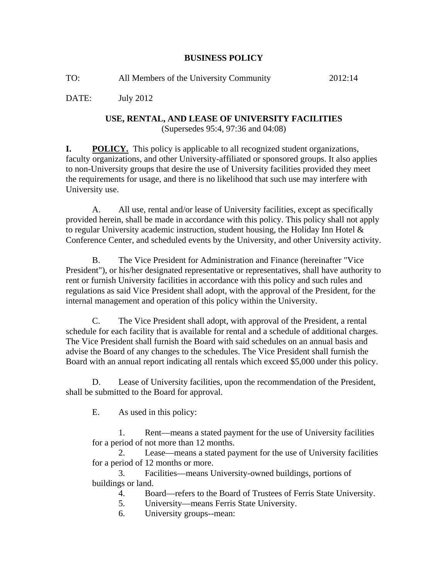## **BUSINESS POLICY**

| TO: | All Members of the University Community | 2012:14 |
|-----|-----------------------------------------|---------|
|-----|-----------------------------------------|---------|

DATE: July 2012

## **USE, RENTAL, AND LEASE OF UNIVERSITY FACILITIES**  (Supersedes 95:4, 97:36 and 04:08)

**I. POLICY.** This policy is applicable to all recognized student organizations, faculty organizations, and other University-affiliated or sponsored groups. It also applies to non-University groups that desire the use of University facilities provided they meet the requirements for usage, and there is no likelihood that such use may interfere with University use.

A. All use, rental and/or lease of University facilities, except as specifically provided herein, shall be made in accordance with this policy. This policy shall not apply to regular University academic instruction, student housing, the Holiday Inn Hotel & Conference Center, and scheduled events by the University, and other University activity.

B. The Vice President for Administration and Finance (hereinafter "Vice President"), or his/her designated representative or representatives, shall have authority to rent or furnish University facilities in accordance with this policy and such rules and regulations as said Vice President shall adopt, with the approval of the President, for the internal management and operation of this policy within the University.

C. The Vice President shall adopt, with approval of the President, a rental schedule for each facility that is available for rental and a schedule of additional charges. The Vice President shall furnish the Board with said schedules on an annual basis and advise the Board of any changes to the schedules. The Vice President shall furnish the Board with an annual report indicating all rentals which exceed \$5,000 under this policy.

D. Lease of University facilities, upon the recommendation of the President, shall be submitted to the Board for approval.

E. As used in this policy:

1. Rent—means a stated payment for the use of University facilities for a period of not more than 12 months.

2. Lease—means a stated payment for the use of University facilities for a period of 12 months or more.

3. Facilities—means University-owned buildings, portions of buildings or land.

4. Board—refers to the Board of Trustees of Ferris State University.

- 5. University—means Ferris State University.
- 6. University groups--mean: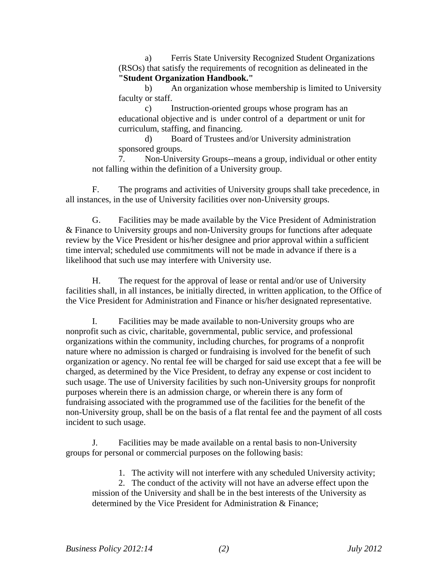a) Ferris State University Recognized Student Organizations (RSOs) that satisfy the requirements of recognition as delineated in the **"Student Organization Handbook."**

b) An organization whose membership is limited to University faculty or staff.

c) Instruction-oriented groups whose program has an educational objective and is under control of a department or unit for curriculum, staffing, and financing.

d) Board of Trustees and/or University administration sponsored groups.

7. Non-University Groups--means a group, individual or other entity not falling within the definition of a University group.

F. The programs and activities of University groups shall take precedence, in all instances, in the use of University facilities over non-University groups.

G. Facilities may be made available by the Vice President of Administration & Finance to University groups and non-University groups for functions after adequate review by the Vice President or his/her designee and prior approval within a sufficient time interval; scheduled use commitments will not be made in advance if there is a likelihood that such use may interfere with University use.

H. The request for the approval of lease or rental and/or use of University facilities shall, in all instances, be initially directed, in written application, to the Office of the Vice President for Administration and Finance or his/her designated representative.

I. Facilities may be made available to non-University groups who are nonprofit such as civic, charitable, governmental, public service, and professional organizations within the community, including churches, for programs of a nonprofit nature where no admission is charged or fundraising is involved for the benefit of such organization or agency. No rental fee will be charged for said use except that a fee will be charged, as determined by the Vice President, to defray any expense or cost incident to such usage. The use of University facilities by such non-University groups for nonprofit purposes wherein there is an admission charge, or wherein there is any form of fundraising associated with the programmed use of the facilities for the benefit of the non-University group, shall be on the basis of a flat rental fee and the payment of all costs incident to such usage.

J. Facilities may be made available on a rental basis to non-University groups for personal or commercial purposes on the following basis:

1. The activity will not interfere with any scheduled University activity;

2. The conduct of the activity will not have an adverse effect upon the mission of the University and shall be in the best interests of the University as determined by the Vice President for Administration & Finance;